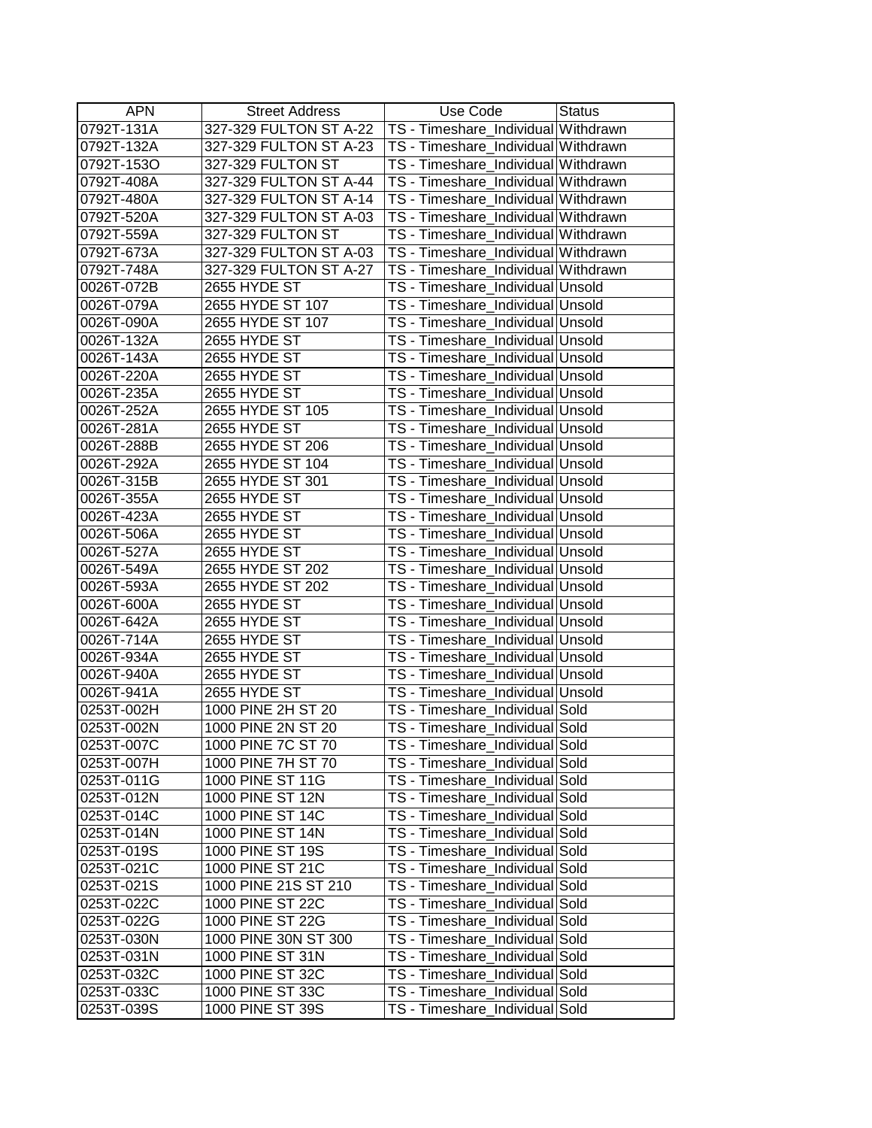| <b>APN</b>               | <b>Street Address</b>  | Use Code                            | <b>Status</b> |
|--------------------------|------------------------|-------------------------------------|---------------|
| 0792T-131A               | 327-329 FULTON ST A-22 | TS - Timeshare_Individual Withdrawn |               |
| 0792T-132A               | 327-329 FULTON ST A-23 | TS - Timeshare_Individual Withdrawn |               |
| 0792T-153O               | 327-329 FULTON ST      | TS - Timeshare_Individual Withdrawn |               |
| 0792T-408A               | 327-329 FULTON ST A-44 | TS - Timeshare_Individual Withdrawn |               |
| 0792T-480A               | 327-329 FULTON ST A-14 | TS - Timeshare_Individual Withdrawn |               |
| 0792T-520A               | 327-329 FULTON ST A-03 | TS - Timeshare_Individual Withdrawn |               |
| 0792T-559A               | 327-329 FULTON ST      | TS - Timeshare_Individual Withdrawn |               |
| 0792T-673A               | 327-329 FULTON ST A-03 | TS - Timeshare Individual Withdrawn |               |
| 0792T-748A               | 327-329 FULTON ST A-27 | TS - Timeshare_Individual Withdrawn |               |
| 0026T-072B               | 2655 HYDE ST           | TS - Timeshare_Individual Unsold    |               |
| 0026T-079A               | 2655 HYDE ST 107       | TS - Timeshare_Individual Unsold    |               |
| 0026T-090A               | 2655 HYDE ST 107       | TS - Timeshare_Individual Unsold    |               |
| 0026T-132A               | 2655 HYDE ST           | TS - Timeshare_Individual Unsold    |               |
| 0026T-143A               | 2655 HYDE ST           | TS - Timeshare_Individual Unsold    |               |
| 0026T-220A               | 2655 HYDE ST           | TS - Timeshare_Individual Unsold    |               |
| 0026T-235A               | 2655 HYDE ST           | TS - Timeshare Individual Unsold    |               |
| 0026T-252A               | 2655 HYDE ST 105       | TS - Timeshare_Individual Unsold    |               |
| 0026T-281A               | 2655 HYDE ST           | TS - Timeshare_Individual Unsold    |               |
| 0026T-288B               | 2655 HYDE ST 206       | TS - Timeshare Individual Unsold    |               |
| 0026T-292A               | 2655 HYDE ST 104       | TS - Timeshare_Individual Unsold    |               |
| 0026T-315B               | 2655 HYDE ST 301       | TS - Timeshare_Individual Unsold    |               |
| 0026T-355A               | 2655 HYDE ST           | TS - Timeshare Individual Unsold    |               |
| 0026T-423A               | 2655 HYDE ST           | TS - Timeshare_Individual Unsold    |               |
| 0026T-506A               | 2655 HYDE ST           | TS - Timeshare_Individual Unsold    |               |
| 0026T-527A               | 2655 HYDE ST           | TS - Timeshare_Individual Unsold    |               |
| 0026T-549A               | 2655 HYDE ST 202       | TS - Timeshare_Individual Unsold    |               |
| 0026T-593A               | 2655 HYDE ST 202       | TS - Timeshare_Individual Unsold    |               |
| 0026T-600A               | 2655 HYDE ST           | TS - Timeshare_Individual Unsold    |               |
| 0026T-642A               | 2655 HYDE ST           | TS - Timeshare_Individual Unsold    |               |
| 0026T-714A               | 2655 HYDE ST           | TS - Timeshare Individual Unsold    |               |
| 0026T-934A               | 2655 HYDE ST           | TS - Timeshare_Individual Unsold    |               |
| 0026T-940A               | 2655 HYDE ST           | TS - Timeshare_Individual Unsold    |               |
| 0026T-941A               | 2655 HYDE ST           | TS - Timeshare_Individual Unsold    |               |
| 0253T-002H               | 1000 PINE 2H ST 20     | TS - Timeshare_Individual Sold      |               |
| 0253T-002N               | 1000 PINE 2N ST 20     | TS - Timeshare_Individual Sold      |               |
| 0253T-007C               | 1000 PINE 7C ST 70     | TS - Timeshare_Individual Sold      |               |
| 0253T-007H               | 1000 PINE 7H ST 70     | TS - Timeshare_Individual Sold      |               |
| 0253T-011G               | 1000 PINE ST 11G       | TS - Timeshare Individual Sold      |               |
| 0253T-012N               | 1000 PINE ST 12N       | TS - Timeshare_Individual Sold      |               |
| 0253T-014C               | 1000 PINE ST 14C       | TS - Timeshare_Individual Sold      |               |
| 0253T-014N               | 1000 PINE ST 14N       | TS - Timeshare Individual Sold      |               |
| 0253T-019S               | 1000 PINE ST 19S       | TS - Timeshare_Individual Sold      |               |
| 0253T-021C               | 1000 PINE ST 21C       | TS - Timeshare_Individual Sold      |               |
| 0253T-021S               | 1000 PINE 21S ST 210   | TS - Timeshare_Individual Sold      |               |
| 0253T-022C               | 1000 PINE ST 22C       | TS - Timeshare_Individual Sold      |               |
| 0253T-022G               | 1000 PINE ST 22G       | TS - Timeshare_Individual Sold      |               |
| 0253T-030N               | 1000 PINE 30N ST 300   | TS - Timeshare_Individual Sold      |               |
| 0253T-031N               | 1000 PINE ST 31N       | TS - Timeshare_Individual Sold      |               |
|                          | 1000 PINE ST 32C       | TS - Timeshare_Individual Sold      |               |
|                          |                        |                                     |               |
| 0253T-032C<br>0253T-033C | 1000 PINE ST 33C       | TS - Timeshare_Individual Sold      |               |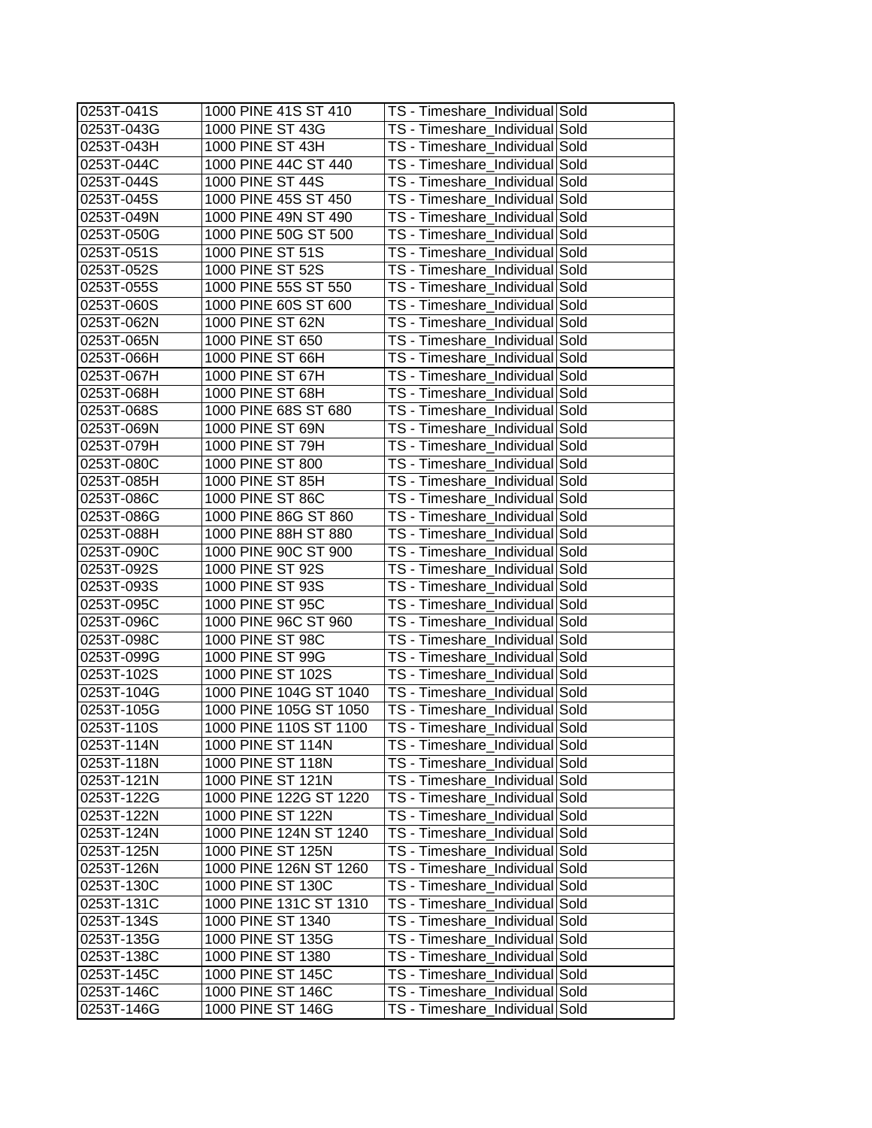| 0253T-041S  | 1000 PINE 41S ST 410   | TS - Timeshare_Individual Sold |  |
|-------------|------------------------|--------------------------------|--|
| 0253T-043G  | 1000 PINE ST 43G       | TS - Timeshare Individual Sold |  |
| 0253T-043H  | 1000 PINE ST 43H       | TS - Timeshare_Individual Sold |  |
| 0253T-044C  | 1000 PINE 44C ST 440   | TS - Timeshare_Individual Sold |  |
| 0253T-044S  | 1000 PINE ST 44S       | TS - Timeshare Individual Sold |  |
| 0253T-045S  | 1000 PINE 45S ST 450   | TS - Timeshare Individual Sold |  |
| 0253T-049N  | 1000 PINE 49N ST 490   | TS - Timeshare_Individual Sold |  |
| 0253T-050G  | 1000 PINE 50G ST 500   | TS - Timeshare_Individual Sold |  |
| 0253T-051S  | 1000 PINE ST 51S       | TS - Timeshare Individual Sold |  |
| 0253T-052S  | 1000 PINE ST 52S       | TS - Timeshare_Individual Sold |  |
| 0253T-055S  | 1000 PINE 55S ST 550   | TS - Timeshare Individual Sold |  |
| 0253T-060S  | 1000 PINE 60S ST 600   | TS - Timeshare_Individual Sold |  |
| 0253T-062N  | 1000 PINE ST 62N       | TS - Timeshare_Individual Sold |  |
| I0253T-065N | 1000 PINE ST 650       | TS - Timeshare_Individual Sold |  |
| 0253T-066H  | 1000 PINE ST 66H       | TS - Timeshare_Individual Sold |  |
| 0253T-067H  | 1000 PINE ST 67H       | TS - Timeshare_Individual Sold |  |
| 0253T-068H  | 1000 PINE ST 68H       | TS - Timeshare_Individual Sold |  |
| 0253T-068S  | 1000 PINE 68S ST 680   | TS - Timeshare_Individual Sold |  |
| 0253T-069N  | 1000 PINE ST 69N       | TS - Timeshare_Individual Sold |  |
| 0253T-079H  | 1000 PINE ST 79H       | TS - Timeshare_Individual Sold |  |
| 0253T-080C  | 1000 PINE ST 800       | TS - Timeshare Individual Sold |  |
| 0253T-085H  | 1000 PINE ST 85H       | TS - Timeshare_Individual Sold |  |
| 0253T-086C  | 1000 PINE ST 86C       | TS - Timeshare_Individual Sold |  |
| 0253T-086G  | 1000 PINE 86G ST 860   | TS - Timeshare Individual Sold |  |
| 0253T-088H  | 1000 PINE 88H ST 880   | TS - Timeshare_Individual Sold |  |
| 0253T-090C  | 1000 PINE 90C ST 900   | TS - Timeshare_Individual Sold |  |
| 0253T-092S  | 1000 PINE ST 92S       | TS - Timeshare_Individual Sold |  |
| 0253T-093S  | 1000 PINE ST 93S       | TS - Timeshare_Individual Sold |  |
| 0253T-095C  | 1000 PINE ST 95C       | TS - Timeshare_Individual Sold |  |
| 0253T-096C  | 1000 PINE 96C ST 960   | TS - Timeshare_Individual Sold |  |
| 0253T-098C  | 1000 PINE ST 98C       | TS - Timeshare_Individual Sold |  |
| 0253T-099G  | 1000 PINE ST 99G       | TS - Timeshare_Individual Sold |  |
| 0253T-102S  | 1000 PINE ST 102S      | TS - Timeshare_Individual Sold |  |
| 0253T-104G  | 1000 PINE 104G ST 1040 | TS - Timeshare Individual Sold |  |
| 0253T-105G  | 1000 PINE 105G ST 1050 | TS - Timeshare_Individual Sold |  |
| 0253T-110S  | 1000 PINE 110S ST 1100 | TS - Timeshare_Individual Sold |  |
| 0253T-114N  | 1000 PINE ST 114N      | TS - Timeshare_Individual Sold |  |
| 0253T-118N  | 1000 PINE ST 118N      | TS - Timeshare_Individual Sold |  |
| 0253T-121N  | 1000 PINE ST 121N      | TS - Timeshare_Individual Sold |  |
| 0253T-122G  | 1000 PINE 122G ST 1220 | TS - Timeshare_Individual Sold |  |
| 0253T-122N  | 1000 PINE ST 122N      | TS - Timeshare Individual Sold |  |
| 0253T-124N  | 1000 PINE 124N ST 1240 | TS - Timeshare_Individual Sold |  |
| 0253T-125N  | 1000 PINE ST 125N      | TS - Timeshare_Individual Sold |  |
| 0253T-126N  | 1000 PINE 126N ST 1260 | TS - Timeshare_Individual Sold |  |
| 0253T-130C  | 1000 PINE ST 130C      | TS - Timeshare_Individual Sold |  |
| 0253T-131C  | 1000 PINE 131C ST 1310 | TS - Timeshare_Individual Sold |  |
| 0253T-134S  | 1000 PINE ST 1340      | TS - Timeshare_Individual Sold |  |
| 0253T-135G  | 1000 PINE ST 135G      | TS - Timeshare_Individual Sold |  |
| 0253T-138C  | 1000 PINE ST 1380      | TS - Timeshare_Individual Sold |  |
| 0253T-145C  | 1000 PINE ST 145C      | TS - Timeshare_Individual Sold |  |
| 0253T-146C  | 1000 PINE ST 146C      | TS - Timeshare_Individual Sold |  |
| 0253T-146G  | 1000 PINE ST 146G      | TS - Timeshare_Individual Sold |  |
|             |                        |                                |  |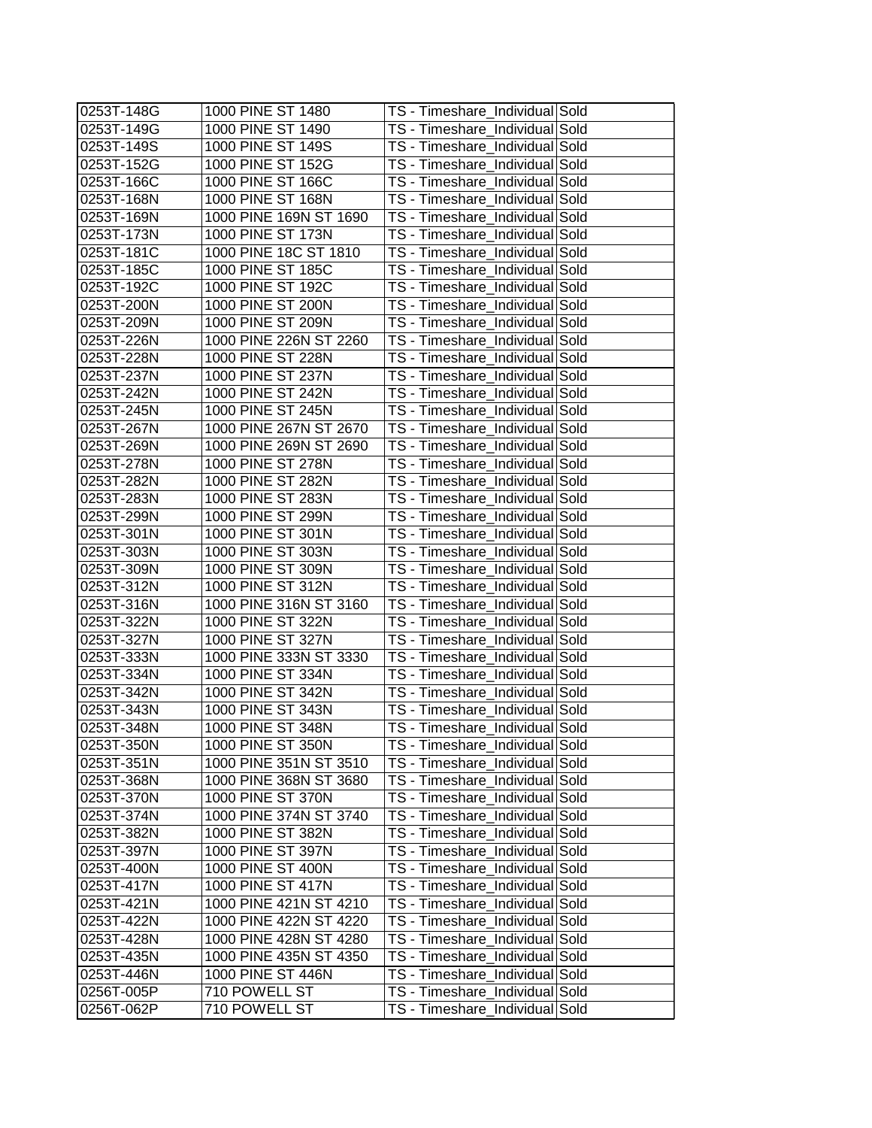| 0253T-148G | 1000 PINE ST 1480      | TS - Timeshare_Individual Sold |  |
|------------|------------------------|--------------------------------|--|
| 0253T-149G | 1000 PINE ST 1490      | TS - Timeshare_Individual Sold |  |
| 0253T-149S | 1000 PINE ST 149S      | TS - Timeshare_Individual Sold |  |
| 0253T-152G | 1000 PINE ST 152G      | TS - Timeshare_Individual Sold |  |
| 0253T-166C | 1000 PINE ST 166C      | TS - Timeshare Individual Sold |  |
| 0253T-168N | 1000 PINE ST 168N      | TS - Timeshare_Individual Sold |  |
| 0253T-169N | 1000 PINE 169N ST 1690 | TS - Timeshare_Individual Sold |  |
| 0253T-173N | 1000 PINE ST 173N      | TS - Timeshare_Individual Sold |  |
| 0253T-181C | 1000 PINE 18C ST 1810  | TS - Timeshare_Individual Sold |  |
| 0253T-185C | 1000 PINE ST 185C      | TS - Timeshare_Individual Sold |  |
| 0253T-192C | 1000 PINE ST 192C      | TS - Timeshare_Individual Sold |  |
| 0253T-200N | 1000 PINE ST 200N      | TS - Timeshare Individual Sold |  |
| 0253T-209N | 1000 PINE ST 209N      | TS - Timeshare_Individual Sold |  |
| 0253T-226N | 1000 PINE 226N ST 2260 | TS - Timeshare_Individual Sold |  |
| 0253T-228N | 1000 PINE ST 228N      | TS - Timeshare_Individual Sold |  |
| 0253T-237N | 1000 PINE ST 237N      | TS - Timeshare_Individual Sold |  |
| 0253T-242N | 1000 PINE ST 242N      | TS - Timeshare Individual Sold |  |
| 0253T-245N | 1000 PINE ST 245N      | TS - Timeshare_Individual Sold |  |
| 0253T-267N | 1000 PINE 267N ST 2670 | TS - Timeshare_Individual Sold |  |
| 0253T-269N | 1000 PINE 269N ST 2690 | TS - Timeshare_Individual Sold |  |
| 0253T-278N | 1000 PINE ST 278N      | TS - Timeshare_Individual Sold |  |
| 0253T-282N | 1000 PINE ST 282N      | TS - Timeshare_Individual Sold |  |
| 0253T-283N | 1000 PINE ST 283N      | TS - Timeshare_Individual Sold |  |
| 0253T-299N | 1000 PINE ST 299N      | TS - Timeshare_Individual Sold |  |
| 0253T-301N | 1000 PINE ST 301N      | TS - Timeshare_Individual Sold |  |
| 0253T-303N | 1000 PINE ST 303N      | TS - Timeshare_Individual Sold |  |
| 0253T-309N | 1000 PINE ST 309N      | TS - Timeshare_Individual Sold |  |
| 0253T-312N | 1000 PINE ST 312N      | TS - Timeshare_Individual Sold |  |
| 0253T-316N | 1000 PINE 316N ST 3160 | TS - Timeshare_Individual Sold |  |
| 0253T-322N | 1000 PINE ST 322N      | TS - Timeshare_Individual Sold |  |
| 0253T-327N | 1000 PINE ST 327N      | TS - Timeshare_Individual Sold |  |
| 0253T-333N | 1000 PINE 333N ST 3330 | TS - Timeshare_Individual Sold |  |
| 0253T-334N | 1000 PINE ST 334N      | TS - Timeshare Individual Sold |  |
| 0253T-342N | 1000 PINE ST 342N      | TS - Timeshare_Individual Sold |  |
| 0253T-343N | 1000 PINE ST 343N      | TS - Timeshare_Individual Sold |  |
| 0253T-348N | 1000 PINE ST 348N      | TS - Timeshare_Individual Sold |  |
| 0253T-350N | 1000 PINE ST 350N      | TS - Timeshare_Individual Sold |  |
| 0253T-351N | 1000 PINE 351N ST 3510 | TS - Timeshare_Individual Sold |  |
| 0253T-368N | 1000 PINE 368N ST 3680 | TS - Timeshare_Individual Sold |  |
| 0253T-370N | 1000 PINE ST 370N      | TS - Timeshare_Individual Sold |  |
| 0253T-374N | 1000 PINE 374N ST 3740 | TS - Timeshare Individual Sold |  |
| 0253T-382N | 1000 PINE ST 382N      | TS - Timeshare_Individual Sold |  |
| 0253T-397N | 1000 PINE ST 397N      | TS - Timeshare_Individual Sold |  |
| 0253T-400N | 1000 PINE ST 400N      | TS - Timeshare_Individual Sold |  |
| 0253T-417N | 1000 PINE ST 417N      | TS - Timeshare Individual Sold |  |
| 0253T-421N | 1000 PINE 421N ST 4210 | TS - Timeshare_Individual Sold |  |
| 0253T-422N | 1000 PINE 422N ST 4220 | TS - Timeshare_Individual Sold |  |
| 0253T-428N | 1000 PINE 428N ST 4280 | TS - Timeshare_Individual Sold |  |
| 0253T-435N | 1000 PINE 435N ST 4350 | TS - Timeshare_Individual Sold |  |
| 0253T-446N | 1000 PINE ST 446N      | TS - Timeshare_Individual Sold |  |
| 0256T-005P | 710 POWELL ST          | TS - Timeshare_Individual Sold |  |
| 0256T-062P | 710 POWELL ST          | TS - Timeshare_Individual Sold |  |
|            |                        |                                |  |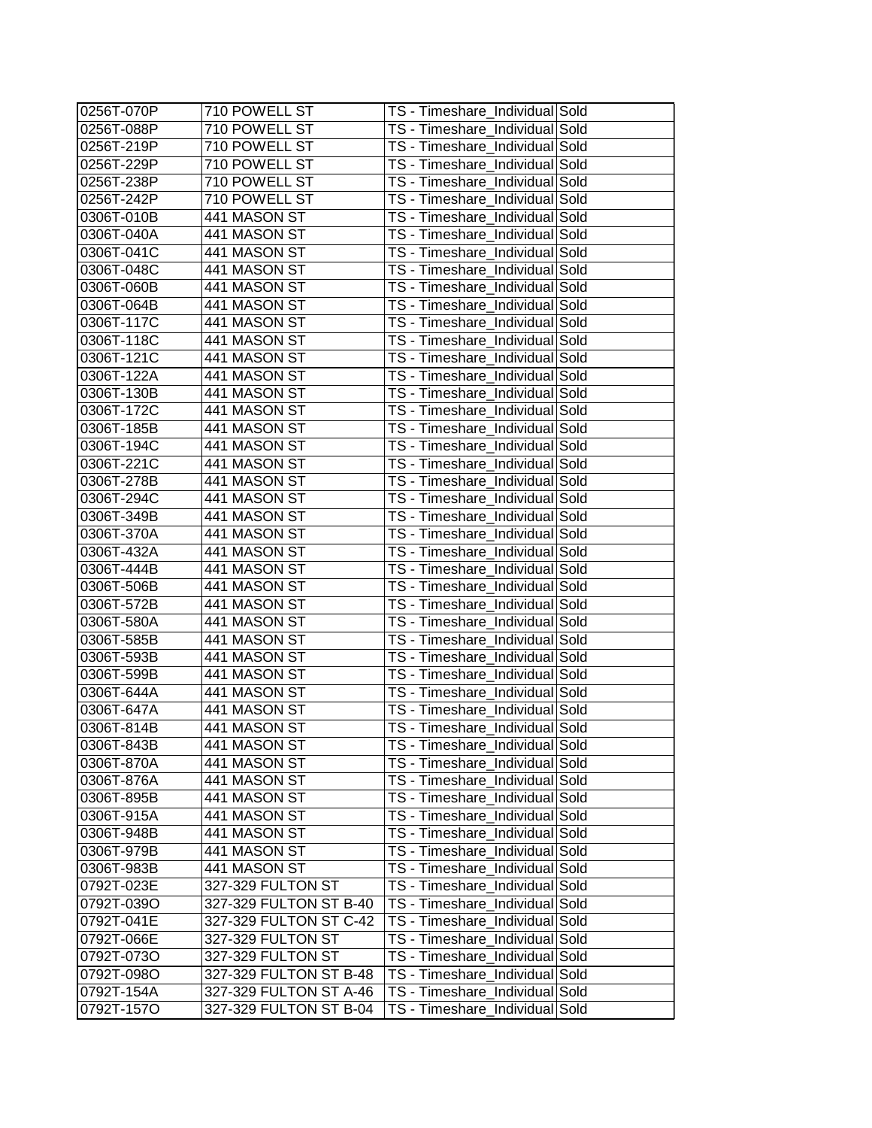| 0256T-070P | 710 POWELL ST          | TS - Timeshare_Individual Sold |  |
|------------|------------------------|--------------------------------|--|
| 0256T-088P | 710 POWELL ST          | TS - Timeshare_Individual Sold |  |
| 0256T-219P | 710 POWELL ST          | TS - Timeshare_Individual Sold |  |
| 0256T-229P | 710 POWELL ST          | TS - Timeshare_Individual Sold |  |
| 0256T-238P | 710 POWELL ST          | TS - Timeshare Individual Sold |  |
| 0256T-242P | 710 POWELL ST          | TS - Timeshare_Individual Sold |  |
| 0306T-010B | 441 MASON ST           | TS - Timeshare_Individual Sold |  |
| 0306T-040A | 441 MASON ST           | TS - Timeshare_Individual Sold |  |
| 0306T-041C | 441 MASON ST           | TS - Timeshare_Individual Sold |  |
| 0306T-048C | 441 MASON ST           | TS - Timeshare_Individual Sold |  |
| 0306T-060B | 441 MASON ST           | TS - Timeshare_Individual Sold |  |
| 0306T-064B | 441 MASON ST           | TS - Timeshare_Individual Sold |  |
| 0306T-117C | 441 MASON ST           | TS - Timeshare_Individual Sold |  |
| 0306T-118C | 441 MASON ST           | TS - Timeshare_Individual Sold |  |
| 0306T-121C | 441 MASON ST           | TS - Timeshare_Individual Sold |  |
| 0306T-122A | 441 MASON ST           | TS - Timeshare_Individual Sold |  |
| 0306T-130B | 441 MASON ST           | TS - Timeshare_Individual Sold |  |
| 0306T-172C | 441 MASON ST           | TS - Timeshare_Individual Sold |  |
| 0306T-185B | 441 MASON ST           | TS - Timeshare_Individual Sold |  |
| 0306T-194C | 441 MASON ST           | TS - Timeshare_Individual Sold |  |
| 0306T-221C | 441 MASON ST           | TS - Timeshare_Individual Sold |  |
| 0306T-278B | 441 MASON ST           | TS - Timeshare_Individual Sold |  |
| 0306T-294C | 441 MASON ST           | TS - Timeshare_Individual Sold |  |
| 0306T-349B | 441 MASON ST           | TS - Timeshare_Individual Sold |  |
| 0306T-370A | 441 MASON ST           | TS - Timeshare_Individual Sold |  |
| 0306T-432A | 441 MASON ST           | TS - Timeshare_Individual Sold |  |
| 0306T-444B | 441 MASON ST           | TS - Timeshare_Individual Sold |  |
| 0306T-506B | 441 MASON ST           | TS - Timeshare_Individual Sold |  |
| 0306T-572B | 441 MASON ST           | TS - Timeshare_Individual Sold |  |
| 0306T-580A | 441 MASON ST           | TS - Timeshare_Individual Sold |  |
| 0306T-585B | 441 MASON ST           | TS - Timeshare_Individual Sold |  |
| 0306T-593B | 441 MASON ST           | TS - Timeshare_Individual Sold |  |
| 0306T-599B | 441 MASON ST           | TS - Timeshare Individual Sold |  |
| 0306T-644A | 441 MASON ST           | TS - Timeshare_Individual Sold |  |
| 0306T-647A | 441 MASON ST           | TS - Timeshare_Individual Sold |  |
| 0306T-814B | 441 MASON ST           | TS - Timeshare_Individual Sold |  |
| 0306T-843B | 441 MASON ST           | TS - Timeshare_Individual Sold |  |
| 0306T-870A | 441 MASON ST           | TS - Timeshare Individual Sold |  |
| 0306T-876A | 441 MASON ST           | TS - Timeshare Individual Sold |  |
| 0306T-895B | 441 MASON ST           | TS - Timeshare_Individual Sold |  |
| 0306T-915A | 441 MASON ST           | TS - Timeshare Individual Sold |  |
| 0306T-948B | 441 MASON ST           | TS - Timeshare_Individual Sold |  |
| 0306T-979B | 441 MASON ST           | TS - Timeshare_Individual Sold |  |
| 0306T-983B | 441 MASON ST           | TS - Timeshare_Individual Sold |  |
| 0792T-023E | 327-329 FULTON ST      | TS - Timeshare_Individual Sold |  |
| 0792T-039O | 327-329 FULTON ST B-40 | TS - Timeshare_Individual Sold |  |
| 0792T-041E | 327-329 FULTON ST C-42 | TS - Timeshare_Individual Sold |  |
| 0792T-066E | 327-329 FULTON ST      | TS - Timeshare_Individual Sold |  |
| 0792T-073O | 327-329 FULTON ST      | TS - Timeshare_Individual Sold |  |
| 0792T-098O | 327-329 FULTON ST B-48 | TS - Timeshare_Individual Sold |  |
| 0792T-154A | 327-329 FULTON ST A-46 | TS - Timeshare_Individual Sold |  |
| 0792T-157O | 327-329 FULTON ST B-04 | TS - Timeshare_Individual Sold |  |
|            |                        |                                |  |